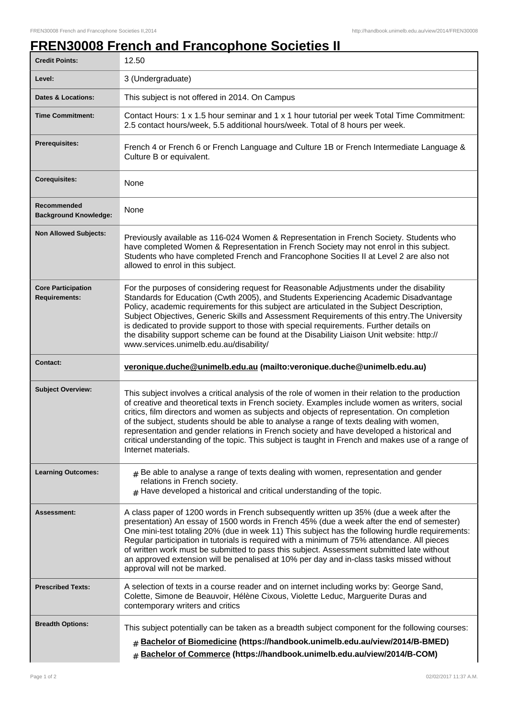## **FREN30008 French and Francophone Societies II**

| <b>Credit Points:</b>                             | 12.50                                                                                                                                                                                                                                                                                                                                                                                                                                                                                                                                                                                                                  |
|---------------------------------------------------|------------------------------------------------------------------------------------------------------------------------------------------------------------------------------------------------------------------------------------------------------------------------------------------------------------------------------------------------------------------------------------------------------------------------------------------------------------------------------------------------------------------------------------------------------------------------------------------------------------------------|
| Level:                                            | 3 (Undergraduate)                                                                                                                                                                                                                                                                                                                                                                                                                                                                                                                                                                                                      |
| <b>Dates &amp; Locations:</b>                     | This subject is not offered in 2014. On Campus                                                                                                                                                                                                                                                                                                                                                                                                                                                                                                                                                                         |
| <b>Time Commitment:</b>                           | Contact Hours: 1 x 1.5 hour seminar and 1 x 1 hour tutorial per week Total Time Commitment:<br>2.5 contact hours/week, 5.5 additional hours/week. Total of 8 hours per week.                                                                                                                                                                                                                                                                                                                                                                                                                                           |
| Prerequisites:                                    | French 4 or French 6 or French Language and Culture 1B or French Intermediate Language &<br>Culture B or equivalent.                                                                                                                                                                                                                                                                                                                                                                                                                                                                                                   |
| <b>Corequisites:</b>                              | None                                                                                                                                                                                                                                                                                                                                                                                                                                                                                                                                                                                                                   |
| Recommended<br><b>Background Knowledge:</b>       | None                                                                                                                                                                                                                                                                                                                                                                                                                                                                                                                                                                                                                   |
| <b>Non Allowed Subjects:</b>                      | Previously available as 116-024 Women & Representation in French Society. Students who<br>have completed Women & Representation in French Society may not enrol in this subject.<br>Students who have completed French and Francophone Socities II at Level 2 are also not<br>allowed to enrol in this subject.                                                                                                                                                                                                                                                                                                        |
| <b>Core Participation</b><br><b>Requirements:</b> | For the purposes of considering request for Reasonable Adjustments under the disability<br>Standards for Education (Cwth 2005), and Students Experiencing Academic Disadvantage<br>Policy, academic requirements for this subject are articulated in the Subject Description,<br>Subject Objectives, Generic Skills and Assessment Requirements of this entry. The University<br>is dedicated to provide support to those with special requirements. Further details on<br>the disability support scheme can be found at the Disability Liaison Unit website: http://<br>www.services.unimelb.edu.au/disability/       |
| <b>Contact:</b>                                   | veronique.duche@unimelb.edu.au (mailto:veronique.duche@unimelb.edu.au)                                                                                                                                                                                                                                                                                                                                                                                                                                                                                                                                                 |
| <b>Subject Overview:</b>                          | This subject involves a critical analysis of the role of women in their relation to the production<br>of creative and theoretical texts in French society. Examples include women as writers, social<br>critics, film directors and women as subjects and objects of representation. On completion<br>of the subject, students should be able to analyse a range of texts dealing with women,<br>representation and gender relations in French society and have developed a historical and<br>critical understanding of the topic. This subject is taught in French and makes use of a range of<br>Internet materials. |
| <b>Learning Outcomes:</b>                         | $#$ Be able to analyse a range of texts dealing with women, representation and gender<br>relations in French society.<br>$#$ Have developed a historical and critical understanding of the topic.                                                                                                                                                                                                                                                                                                                                                                                                                      |
| Assessment:                                       | A class paper of 1200 words in French subsequently written up 35% (due a week after the<br>presentation) An essay of 1500 words in French 45% (due a week after the end of semester)<br>One mini-test totaling 20% (due in week 11) This subject has the following hurdle requirements:<br>Regular participation in tutorials is required with a minimum of 75% attendance. All pieces<br>of written work must be submitted to pass this subject. Assessment submitted late without<br>an approved extension will be penalised at 10% per day and in-class tasks missed without<br>approval will not be marked.        |
| <b>Prescribed Texts:</b>                          | A selection of texts in a course reader and on internet including works by: George Sand,<br>Colette, Simone de Beauvoir, Hélène Cixous, Violette Leduc, Marguerite Duras and<br>contemporary writers and critics                                                                                                                                                                                                                                                                                                                                                                                                       |
| <b>Breadth Options:</b>                           | This subject potentially can be taken as a breadth subject component for the following courses:<br>Bachelor of Biomedicine (https://handbook.unimelb.edu.au/view/2014/B-BMED)<br>#<br>Bachelor of Commerce (https://handbook.unimelb.edu.au/view/2014/B-COM)<br>#                                                                                                                                                                                                                                                                                                                                                      |